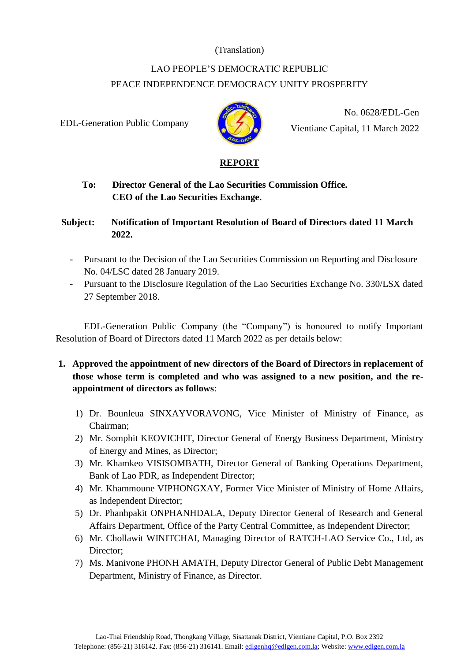## (Translation)

# LAO PEOPLE'S DEMOCRATIC REPUBLIC PEACE INDEPENDENCE DEMOCRACY UNITY PROSPERITY

EDL-Generation Public Company



No. 0628/EDL-Gen Vientiane Capital, 11 March 2022

#### **REPORT**

# **To: Director General of the Lao Securities Commission Office. CEO of the Lao Securities Exchange.**

### **Subject: Notification of Important Resolution of Board of Directors dated 11 March 2022.**

- Pursuant to the Decision of the Lao Securities Commission on Reporting and Disclosure No. 04/LSC dated 28 January 2019.
- Pursuant to the Disclosure Regulation of the Lao Securities Exchange No. 330/LSX dated 27 September 2018.

EDL-Generation Public Company (the "Company") is honoured to notify Important Resolution of Board of Directors dated 11 March 2022 as per details below:

- **1. Approved the appointment of new directors of the Board of Directors in replacement of those whose term is completed and who was assigned to a new position, and the reappointment of directors as follows**:
	- 1) Dr. Bounleua SINXAYVORAVONG, Vice Minister of Ministry of Finance, as Chairman;
	- 2) Mr. Somphit KEOVICHIT, Director General of Energy Business Department, Ministry of Energy and Mines, as Director;
	- 3) Mr. Khamkeo VISISOMBATH, Director General of Banking Operations Department, Bank of Lao PDR, as Independent Director;
	- 4) Mr. Khammoune VIPHONGXAY, Former Vice Minister of Ministry of Home Affairs, as Independent Director;
	- 5) Dr. Phanhpakit ONPHANHDALA, Deputy Director General of Research and General Affairs Department, Office of the Party Central Committee, as Independent Director;
	- 6) Mr. Chollawit WINITCHAI, Managing Director of RATCH-LAO Service Co., Ltd, as Director;
	- 7) Ms. Manivone PHONH AMATH, Deputy Director General of Public Debt Management Department, Ministry of Finance, as Director.